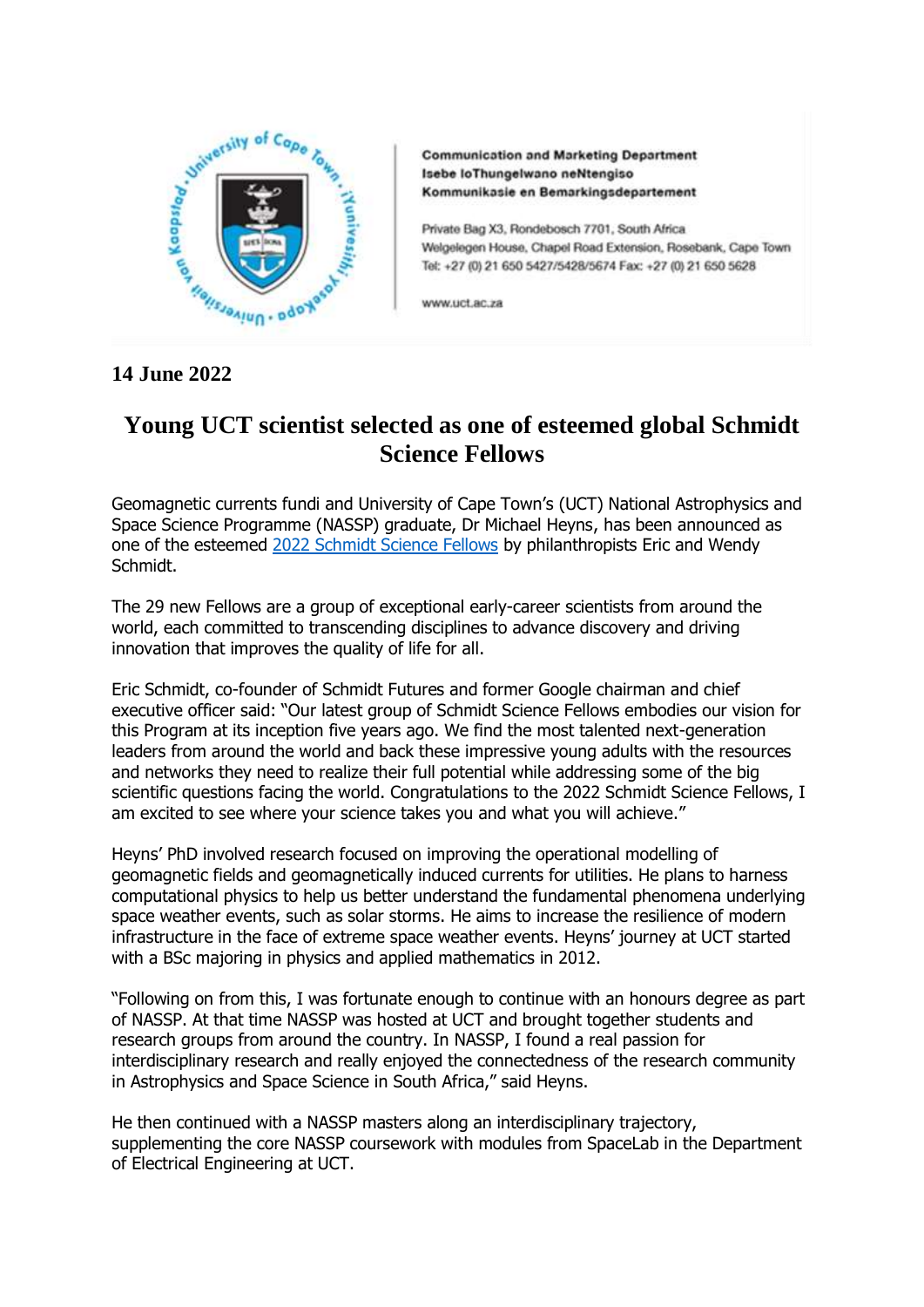

**Communication and Marketing Department** Isebe loThungelwano neNtengiso Kommunikasie en Bemarkingsdepartement

Private Bag X3, Rondebosch 7701, South Africa Welgelegen House, Chapel Road Extension, Rosebank, Cape Town Tel: +27 (0) 21 650 5427/5428/5674 Fax: +27 (0) 21 650 5628

www.uct.ac.za

## **14 June 2022**

## **Young UCT scientist selected as one of esteemed global Schmidt Science Fellows**

Geomagnetic currents fundi and University of Cape Town's (UCT) National Astrophysics and Space Science Programme (NASSP) graduate, Dr Michael Heyns, has been announced as one of the esteemed [2022 Schmidt Science Fellows](https://schmidtsciencefellows.org/news/eric-and-wendy-schmidt-announce-2022-schmidt-science-fellows/) by philanthropists Eric and Wendy Schmidt.

The 29 new Fellows are a group of exceptional early-career scientists from around the world, each committed to transcending disciplines to advance discovery and driving innovation that improves the quality of life for all.

Eric Schmidt, co-founder of Schmidt Futures and former Google chairman and chief executive officer said: "Our latest group of Schmidt Science Fellows embodies our vision for this Program at its inception five years ago. We find the most talented next-generation leaders from around the world and back these impressive young adults with the resources and networks they need to realize their full potential while addressing some of the big scientific questions facing the world. Congratulations to the 2022 Schmidt Science Fellows, I am excited to see where your science takes you and what you will achieve."

Heyns' PhD involved research focused on improving the operational modelling of geomagnetic fields and geomagnetically induced currents for utilities. He plans to harness computational physics to help us better understand the fundamental phenomena underlying space weather events, such as solar storms. He aims to increase the resilience of modern infrastructure in the face of extreme space weather events. Heyns' journey at UCT started with a BSc majoring in physics and applied mathematics in 2012.

"Following on from this, I was fortunate enough to continue with an honours degree as part of NASSP. At that time NASSP was hosted at UCT and brought together students and research groups from around the country. In NASSP, I found a real passion for interdisciplinary research and really enjoyed the connectedness of the research community in Astrophysics and Space Science in South Africa," said Heyns.

He then continued with a NASSP masters along an interdisciplinary trajectory, supplementing the core NASSP coursework with modules from SpaceLab in the Department of Electrical Engineering at UCT.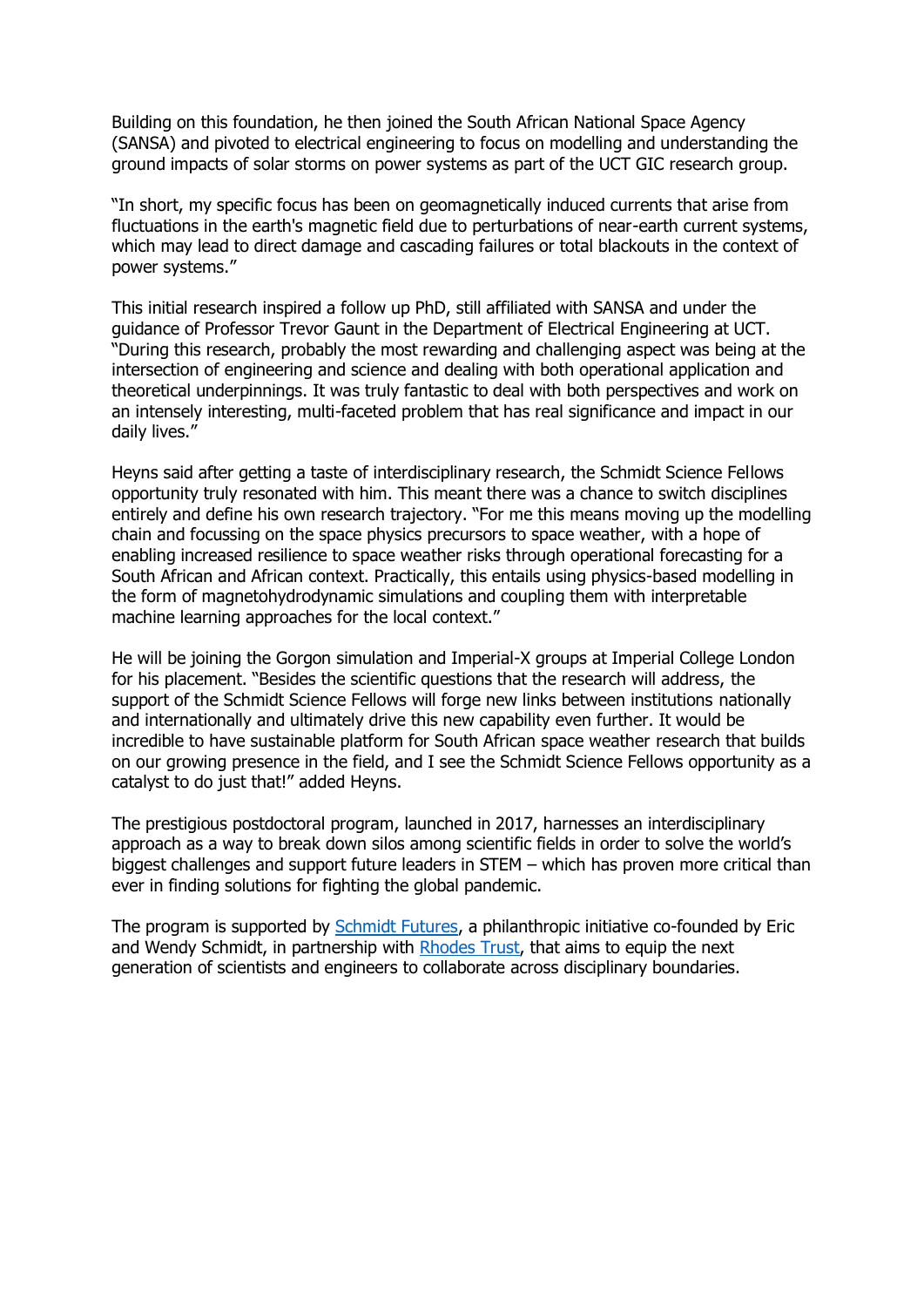Building on this foundation, he then joined the South African National Space Agency (SANSA) and pivoted to electrical engineering to focus on modelling and understanding the ground impacts of solar storms on power systems as part of the UCT GIC research group.

"In short, my specific focus has been on geomagnetically induced currents that arise from fluctuations in the earth's magnetic field due to perturbations of near-earth current systems, which may lead to direct damage and cascading failures or total blackouts in the context of power systems."

This initial research inspired a follow up PhD, still affiliated with SANSA and under the guidance of Professor Trevor Gaunt in the Department of Electrical Engineering at UCT. "During this research, probably the most rewarding and challenging aspect was being at the intersection of engineering and science and dealing with both operational application and theoretical underpinnings. It was truly fantastic to deal with both perspectives and work on an intensely interesting, multi-faceted problem that has real significance and impact in our daily lives."

Heyns said after getting a taste of interdisciplinary research, the Schmidt Science Fellows opportunity truly resonated with him. This meant there was a chance to switch disciplines entirely and define his own research trajectory. "For me this means moving up the modelling chain and focussing on the space physics precursors to space weather, with a hope of enabling increased resilience to space weather risks through operational forecasting for a South African and African context. Practically, this entails using physics-based modelling in the form of magnetohydrodynamic simulations and coupling them with interpretable machine learning approaches for the local context."

He will be joining the Gorgon simulation and Imperial-X groups at Imperial College London for his placement. "Besides the scientific questions that the research will address, the support of the Schmidt Science Fellows will forge new links between institutions nationally and internationally and ultimately drive this new capability even further. It would be incredible to have sustainable platform for South African space weather research that builds on our growing presence in the field, and I see the Schmidt Science Fellows opportunity as a catalyst to do just that!" added Heyns.

The prestigious postdoctoral program, launched in 2017, harnesses an interdisciplinary approach as a way to break down silos among scientific fields in order to solve the world's biggest challenges and support future leaders in STEM – which has proven more critical than ever in finding solutions for fighting the global pandemic.

The program is supported by [Schmidt Futures,](https://protect-za.mimecast.com/s/e5QGCJZKmQtOJNA4CGYKjP) a philanthropic initiative co-founded by Eric and Wendy Schmidt, in partnership with [Rhodes Trust,](https://protect-za.mimecast.com/s/ML-vCKO7nQIKoVMAf3D7oO) that aims to equip the next generation of scientists and engineers to collaborate across disciplinary boundaries.